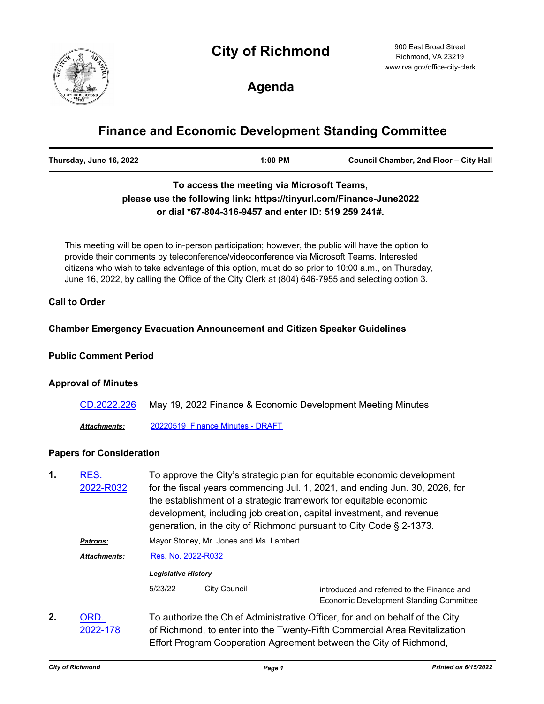# **City of Richmond**



900 East Broad Street Richmond, VA 23219 www.rva.gov/office-city-clerk

**Agenda**

# **Finance and Economic Development Standing Committee**

| Thursday, June 16, 2022<br>1:00 PM | Council Chamber, 2nd Floor - City Hall |
|------------------------------------|----------------------------------------|
|------------------------------------|----------------------------------------|

# **To access the meeting via Microsoft Teams, please use the following link: https://tinyurl.com/Finance-June2022 or dial \*67-804-316-9457 and enter ID: 519 259 241#.**

This meeting will be open to in-person participation; however, the public will have the option to provide their comments by teleconference/videoconference via Microsoft Teams. Interested citizens who wish to take advantage of this option, must do so prior to 10:00 a.m., on Thursday, June 16, 2022, by calling the Office of the City Clerk at (804) 646-7955 and selecting option 3.

## **Call to Order**

## **Chamber Emergency Evacuation Announcement and Citizen Speaker Guidelines**

## **Public Comment Period**

#### **Approval of Minutes**

| CD.2022.226         | May 19, 2022 Finance & Economic Development Meeting Minutes |
|---------------------|-------------------------------------------------------------|
| <b>Attachments:</b> | 20220519 Finance Minutes - DRAFT                            |

## **Papers for Consideration**

| 1. | RES.<br>2022-R032   |                                                                                                                | To approve the City's strategic plan for equitable economic development<br>for the fiscal years commencing Jul. 1, 2021, and ending Jun. 30, 2026, for<br>the establishment of a strategic framework for equitable economic<br>development, including job creation, capital investment, and revenue |                                                                                       |  |
|----|---------------------|----------------------------------------------------------------------------------------------------------------|-----------------------------------------------------------------------------------------------------------------------------------------------------------------------------------------------------------------------------------------------------------------------------------------------------|---------------------------------------------------------------------------------------|--|
|    | Patrons:            | generation, in the city of Richmond pursuant to City Code § 2-1373.<br>Mayor Stoney, Mr. Jones and Ms. Lambert |                                                                                                                                                                                                                                                                                                     |                                                                                       |  |
|    | <b>Attachments:</b> | Res. No. 2022-R032                                                                                             |                                                                                                                                                                                                                                                                                                     |                                                                                       |  |
|    |                     | <b>Legislative History</b>                                                                                     |                                                                                                                                                                                                                                                                                                     |                                                                                       |  |
|    |                     | 5/23/22                                                                                                        | <b>City Council</b>                                                                                                                                                                                                                                                                                 | introduced and referred to the Finance and<br>Economic Development Standing Committee |  |
|    | <b>ORD</b>          | To authorize the Chief Administrative Officer, for and on behalf of the City                                   |                                                                                                                                                                                                                                                                                                     |                                                                                       |  |

To authorize the Chief Administrative Officer, for and on behalf of the City of Richmond, to enter into the Twenty-Fifth Commercial Area Revitalization Effort Program Cooperation Agreement between the City of Richmond, ORD. [2022-178](http://richmondva.legistar.com/gateway.aspx?m=l&id=/matter.aspx?key=32318) **2.**